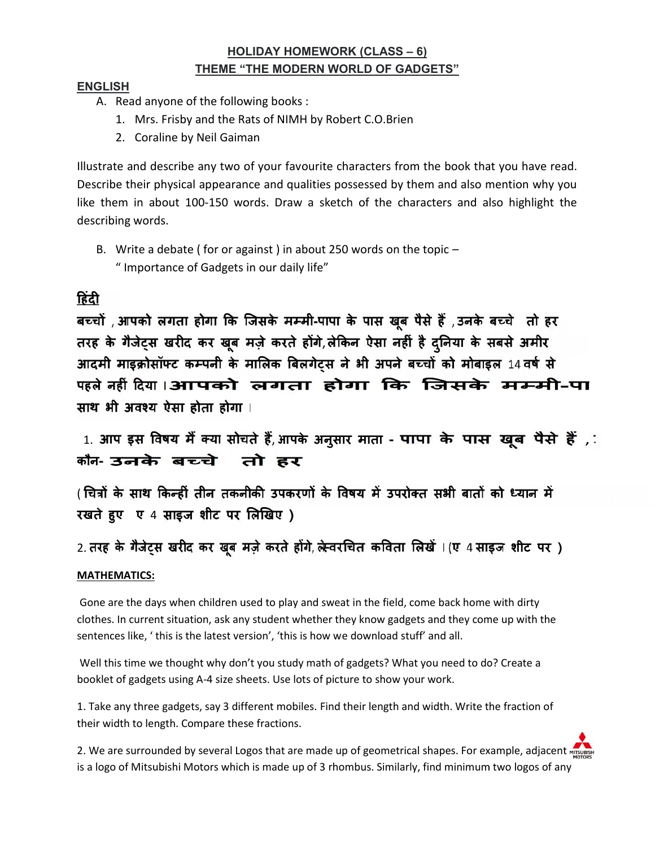# **E "THE MODERN WORLD OF GADGETS"<br>E "THE MODERN WORLD OF GADGETS" THEME "THE MODERN WORLD OF GADGETS"**

## **ENGLISH**

A. Read anyone of the following books :

- 1. Mrs. Frisby and the Rats of NIMH by Robert C.O.Brien
- 2. Coraline by Neil Gaiman

Illustrate and describe any two of your favourite characters from the book that you have read. Describe their physical appearance and qualities possessed by them and also mention why you like them in about 100-150 words. Draw a sketch of the characters and also highlight the describing words.

B. Write a debate ( for or against ) in about 250 words on the topic – " Importance of Gadgets in our daily life"

बच्चों , आपको लगता होगा कि जिसके मम्मी-पापा के पास खूब पैसे हैं , उनके बच्चे तो हर तरह के गैजेट्स खरीद कर खूब मज़े करते होंगे,लेकिन ऐसा नहीं है दुनिया के सबसे अमीर आदमी माइक्रोसॉफ्ट कम्पनी के मालिक बिलगेटस ने भी अपने बच्चों को मोबाइल 14 वर्ष से पहले नहीं दिया। **आपको लगता होगा कि जिसके मम्मी-पा** साथ भी अवश्य ऐसा होता होगा। A. Read anyone of the following books :<br>
1. Mrs. Frisby and the Rats of NIMH by Robert C.O.Brien<br>
2. Coraline by Neil Gaiman<br>
trate and describe any two of your favourite characters from the book that you have read.<br>
crib

1. आप इस विषय मैं क्या सोचते हैं,आपके अनुसार माता <mark>- पापा के पास खूब पैसे हैं</mark> ,:<br>कौन- **उन्नके बच्चे तो हर** 

(चित्रों के साथ किन्हीं तीन तकनीकी उपकरणों के विषय में उपरोक्त सभी बातों को ध्यान में **रखते हुए ए 4 साइज शीट पर लिखिए)** 

2. तरह के गैजेट्स खरीद कर खुब मज़े करते होंगे, लेस्वरचित कविता लिखें । (ए 4 साइज शीट पर)

## **MATHEMATICS:**

Gone are the days when children used to play and sweat in the field, come back home with dirty clothes. In current situation, ask any student whether they know gadgets and they come up with the sentences like, ' this is the latest version', 'this is how we download stuff' and all. Gone are the days when children used to play and sweat in the field, come back home with dirty clothes. In current situation, ask any student whether they know gadgets and they come up with sentences like, ' this is the la

Well this time we thought why don't you study math of gadgets? What you need to do? Create a booklet of gadgets using A-4 size sheets. Use lots of picture to show your work.

1. Take any three gadgets, say 3 different mobiles. Find their length and width. Write the fraction of their width to length. Compare these fractions.

2. We are surrounded by several Logos that are made up of geometrical shapes. For example, adjacent **Museum** is a logo of Mitsubishi Motors which is made up of 3 rhombus. Similarly, find minimum two logos of any Take any three gadgets, say 3 different mobiles. Find their length and width. Write the fraction of<br>eir width to length. Compare these fractions.<br>We are surrounded by several Logos that are made up of geometrical shapes. F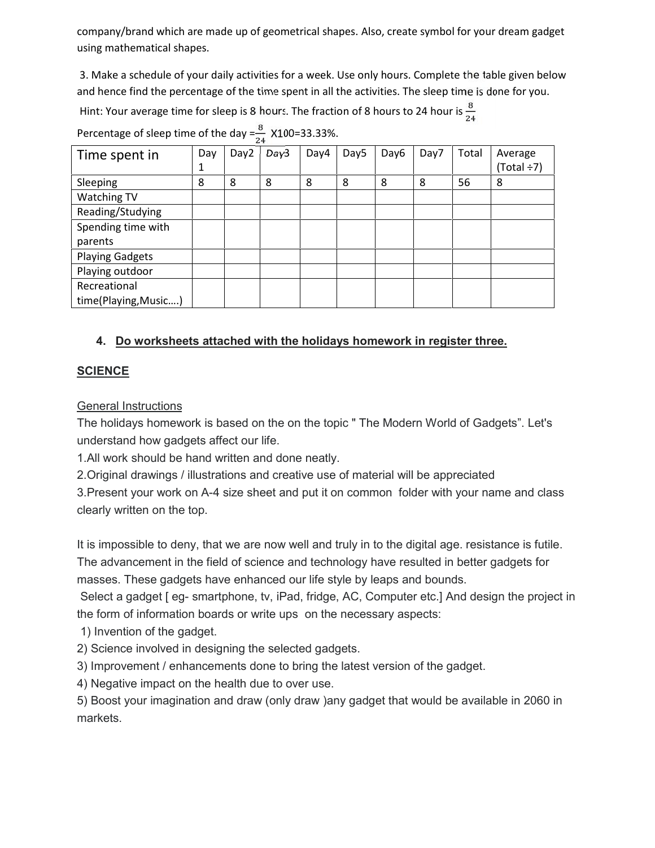company/brand which are made up of geometrical shapes. Also, create symbol for your dream gadget using mathematical shapes.

3. Make a schedule of your daily activities for a week. Use only hours. Complete the table given below and hence find the percentage of the time spent in all the activities. The sleep time is done for you.

Hint: Your average time for sleep is 8 hours. The fraction of 8 hours to 24 hour is  $\frac{8}{24}$ 

| Time spent in          | Day | Day2 | Day3 | Day4 | Day <sub>5</sub> | Day <sub>6</sub> | Day7 | Total | Average<br>$(Total \div 7)$ |
|------------------------|-----|------|------|------|------------------|------------------|------|-------|-----------------------------|
| Sleeping               | 8   | 8    | 8    | 8    | 8                | 8                | 8    | 56    | 8                           |
| Watching TV            |     |      |      |      |                  |                  |      |       |                             |
| Reading/Studying       |     |      |      |      |                  |                  |      |       |                             |
| Spending time with     |     |      |      |      |                  |                  |      |       |                             |
| parents                |     |      |      |      |                  |                  |      |       |                             |
| <b>Playing Gadgets</b> |     |      |      |      |                  |                  |      |       |                             |
| Playing outdoor        |     |      |      |      |                  |                  |      |       |                             |
| Recreational           |     |      |      |      |                  |                  |      |       |                             |
| time(Playing, Music)   |     |      |      |      |                  |                  |      |       |                             |

| Percentage of sleep time of the day $=\frac{8}{24}$ X100=33.33%. |  |
|------------------------------------------------------------------|--|
|------------------------------------------------------------------|--|

# **4. Do worksheets attached with the holidays homework in register three.**

# **SCIENCE**

General Instructions

The holidays homework is based on the on the topic " The Modern World of Gadgets". Let's understand how gadgets affect our life.

1.All work should be hand written and done neatly.

2.Original drawings / illustrations and creative use of material will be appreciated

3.Present your work on A-4 size sheet and put it on common folder with your name and class clearly written on the top.

It is impossible to deny, that we are now well and truly in to the digital age. resistance is futile. The advancement in the field of science and technology have resulted in better gadgets for masses. These gadgets have enhanced our life style by leaps and bounds.

Select a gadget [eg- smartphone, tv, iPad, fridge, AC, Computer etc.] And design the project in the form of information boards or write ups on the necessary aspects:

1) Invention of the gadget.

2) Science involved in designing the selected gadgets.

3) Improvement / enhancements done to bring the latest version of the gadget.

4) Negative impact on the health due to over use.

5) Boost your imagination and draw (only draw )any gadget that would be available in 2060 in markets.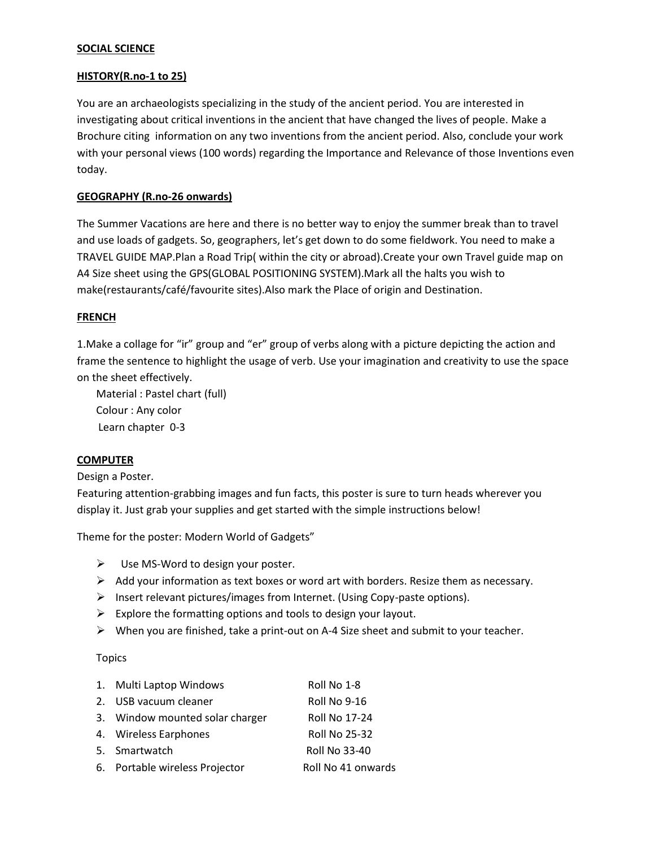### **SOCIAL SCIENCE**

#### **HISTORY(R.no-1 to 25)**

You are an archaeologists specializing in the study of the ancient period. You are interested in investigating about critical inventions in the ancient that have changed the lives of people. Make a Brochure citing information on any two inventions from the ancient period. Also, conclude your work with your personal views (100 words) regarding the Importance and Relevance of those Inventions even today.

### **GEOGRAPHY (R.no-26 onwards)**

The Summer Vacations are here and there is no better way to enjoy the summer break than to travel and use loads of gadgets. So, geographers, let's get down to do some fieldwork. You need to make a TRAVEL GUIDE MAP.Plan a Road Trip( within the city or abroad).Create your own Travel guide map on A4 Size sheet using the GPS(GLOBAL POSITIONING SYSTEM).Mark all the halts you wish to make(restaurants/café/favourite sites).Also mark the Place of origin and Destination.

### **FRENCH**

1.Make a collage for "ir" group and "er" group of verbs along with a picture depicting the action and frame the sentence to highlight the usage of verb. Use your imagination and creativity to use the space on the sheet effectively.

Material : Pastel chart (full) Colour : Any color Learn chapter 0-3

#### **COMPUTER**

Design a Poster.

Featuring attention-grabbing images and fun facts, this poster is sure to turn heads wherever you display it. Just grab your supplies and get started with the simple instructions below!

Theme for the poster: Modern World of Gadgets"

- $\triangleright$  Use MS-Word to design your poster.
- $\triangleright$  Add your information as text boxes or word art with borders. Resize them as necessary.
- $\triangleright$  Insert relevant pictures/images from Internet. (Using Copy-paste options).
- $\triangleright$  Explore the formatting options and tools to design your layout.
- $\triangleright$  When you are finished, take a print-out on A-4 Size sheet and submit to your teacher.

#### Topics

| 1. Multi Laptop Windows         | Roll No 1-8        |
|---------------------------------|--------------------|
| 2. USB vacuum cleaner           | Roll No 9-16       |
| 3. Window mounted solar charger | Roll No 17-24      |
| 4. Wireless Earphones           | Roll No 25-32      |
| 5. Smartwatch                   | Roll No 33-40      |
| 6. Portable wireless Projector  | Roll No 41 onwards |